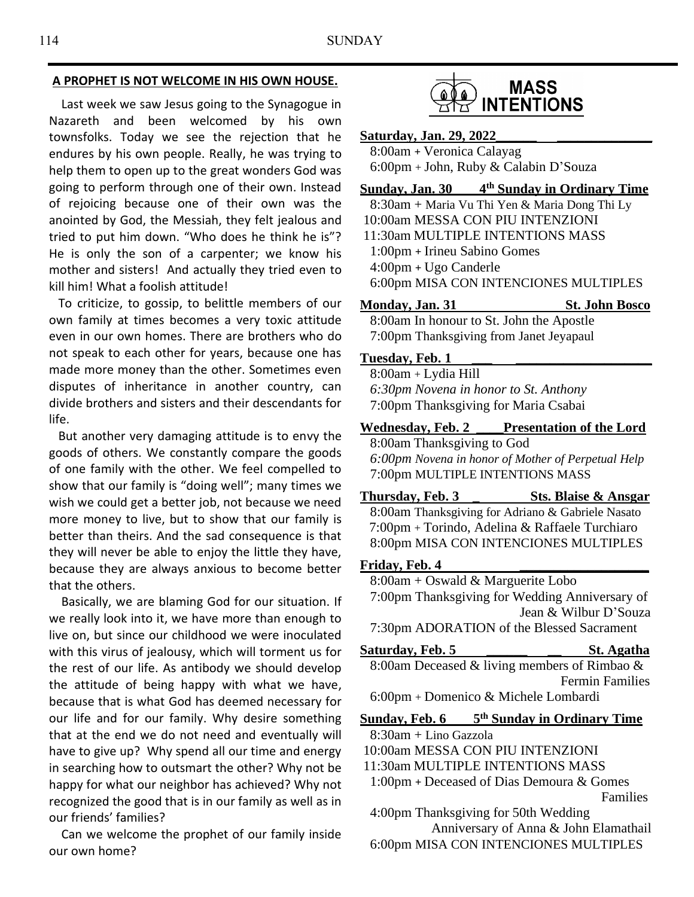#### **A PROPHET IS NOT WELCOME IN HIS OWN HOUSE.**

 Last week we saw Jesus going to the Synagogue in Nazareth and been welcomed by his own townsfolks. Today we see the rejection that he endures by his own people. Really, he was trying to help them to open up to the great wonders God was going to perform through one of their own. Instead of rejoicing because one of their own was the anointed by God, the Messiah, they felt jealous and tried to put him down. "Who does he think he is"? He is only the son of a carpenter; we know his mother and sisters! And actually they tried even to kill him! What a foolish attitude!

 To criticize, to gossip, to belittle members of our own family at times becomes a very toxic attitude even in our own homes. There are brothers who do not speak to each other for years, because one has made more money than the other. Sometimes even disputes of inheritance in another country, can divide brothers and sisters and their descendants for life.

 But another very damaging attitude is to envy the goods of others. We constantly compare the goods of one family with the other. We feel compelled to show that our family is "doing well"; many times we wish we could get a better job, not because we need more money to live, but to show that our family is better than theirs. And the sad consequence is that they will never be able to enjoy the little they have, because they are always anxious to become better that the others.

 Basically, we are blaming God for our situation. If we really look into it, we have more than enough to live on, but since our childhood we were inoculated with this virus of jealousy, which will torment us for the rest of our life. As antibody we should develop the attitude of being happy with what we have, because that is what God has deemed necessary for our life and for our family. Why desire something that at the end we do not need and eventually will have to give up? Why spend all our time and energy in searching how to outsmart the other? Why not be happy for what our neighbor has achieved? Why not recognized the good that is in our family as well as in our friends' families?

 Can we welcome the prophet of our family inside our own home?



**Saturday, Jan. 29, 2022\_\_\_\_\_\_ \_\_\_\_\_\_\_\_\_\_\_\_\_\_**

8:00am **+** Veronica Calayag 6:00pm + John, Ruby & Calabin D'Souza

**Sunday, Jan. 30 4 th Sunday in Ordinary Time** 8:30am + Maria Vu Thi Yen & Maria Dong Thi Ly 10:00am MESSA CON PIU INTENZIONI 11:30am MULTIPLE INTENTIONS MASS 1:00pm **+** Irineu Sabino Gomes 4:00pm **+** Ugo Canderle 6:00pm MISA CON INTENCIONES MULTIPLES

**Monday, Jan. 31 St. John Bosco** 8:00am In honour to St. John the Apostle 7:00pm Thanksgiving from Janet Jeyapaul

**Tuesday, Feb. 1 \_\_\_ \_\_\_\_\_\_\_\_\_\_\_\_\_\_\_\_\_\_\_\_**

8:00am + Lydia Hill *6:30pm Novena in honor to St. Anthony* 7:00pm Thanksgiving for Maria Csabai

**Wednesday, Feb. 2 \_\_\_\_Presentation of the Lord** 8:00am Thanksgiving to God *6:00pm Novena in honor of Mother of Perpetual Help* 7:00pm MULTIPLE INTENTIONS MASS

**Thursday, Feb. 3 \_ Sts. Blaise & Ansgar** 8:00am Thanksgiving for Adriano & Gabriele Nasato 7:00pm + Torindo, Adelina & Raffaele Turchiaro 8:00pm MISA CON INTENCIONES MULTIPLES

#### **Friday, Feb. 4 \_\_\_\_\_\_\_\_\_\_\_\_\_\_\_\_\_\_\_**

8:00am + Oswald & Marguerite Lobo 7:00pm Thanksgiving for Wedding Anniversary of Jean & Wilbur D'Souza 7:30pm ADORATION of the Blessed Sacrament

| Saturday, Feb. 5                             | St. Agatha             |
|----------------------------------------------|------------------------|
| 8:00am Deceased & living members of Rimbao & |                        |
|                                              | <b>Fermin Families</b> |
| 6:00pm + Domenico & Michele Lombardi         |                        |
|                                              |                        |

#### **Sunday, Feb. 6 th Sunday in Ordinary Time**

- 8:30am + Lino Gazzola
- 10:00am MESSA CON PIU INTENZIONI
- 11:30am MULTIPLE INTENTIONS MASS
- 1:00pm **+** Deceased of Dias Demoura & Gomes Families

 4:00pm Thanksgiving for 50th Wedding Anniversary of Anna & John Elamathail 6:00pm MISA CON INTENCIONES MULTIPLES